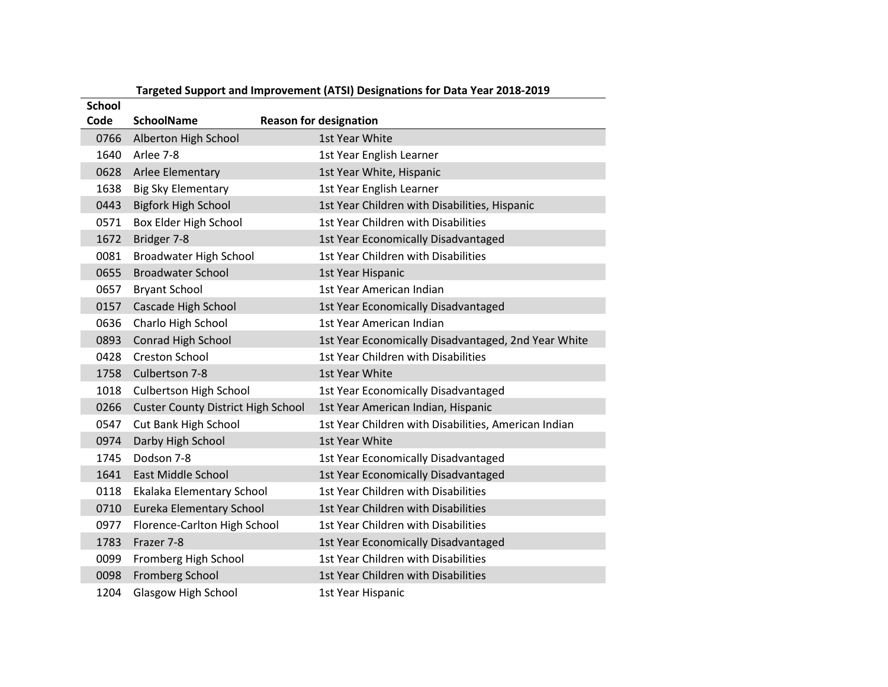| <b>School</b> |                                           |                                                      |
|---------------|-------------------------------------------|------------------------------------------------------|
| Code          | <b>SchoolName</b>                         | <b>Reason for designation</b>                        |
| 0766          | Alberton High School                      | 1st Year White                                       |
| 1640          | Arlee 7-8                                 | 1st Year English Learner                             |
| 0628          | Arlee Elementary                          | 1st Year White, Hispanic                             |
| 1638          | Big Sky Elementary                        | 1st Year English Learner                             |
| 0443          | <b>Bigfork High School</b>                | 1st Year Children with Disabilities, Hispanic        |
| 0571          | Box Elder High School                     | 1st Year Children with Disabilities                  |
| 1672          | Bridger 7-8                               | 1st Year Economically Disadvantaged                  |
| 0081          | <b>Broadwater High School</b>             | 1st Year Children with Disabilities                  |
| 0655          | <b>Broadwater School</b>                  | 1st Year Hispanic                                    |
| 0657          | <b>Bryant School</b>                      | 1st Year American Indian                             |
| 0157          | Cascade High School                       | 1st Year Economically Disadvantaged                  |
| 0636          | Charlo High School                        | 1st Year American Indian                             |
| 0893          | Conrad High School                        | 1st Year Economically Disadvantaged, 2nd Year White  |
| 0428          | <b>Creston School</b>                     | 1st Year Children with Disabilities                  |
| 1758          | Culbertson 7-8                            | 1st Year White                                       |
| 1018          | <b>Culbertson High School</b>             | 1st Year Economically Disadvantaged                  |
| 0266          | <b>Custer County District High School</b> | 1st Year American Indian, Hispanic                   |
| 0547          | Cut Bank High School                      | 1st Year Children with Disabilities, American Indian |
| 0974          | Darby High School                         | 1st Year White                                       |
| 1745          | Dodson 7-8                                | 1st Year Economically Disadvantaged                  |
| 1641          | East Middle School                        | 1st Year Economically Disadvantaged                  |
| 0118          | Ekalaka Elementary School                 | 1st Year Children with Disabilities                  |
| 0710          | Eureka Elementary School                  | 1st Year Children with Disabilities                  |
| 0977          | Florence-Carlton High School              | 1st Year Children with Disabilities                  |
| 1783          | Frazer 7-8                                | 1st Year Economically Disadvantaged                  |
| 0099          | Fromberg High School                      | 1st Year Children with Disabilities                  |
| 0098          | <b>Fromberg School</b>                    | 1st Year Children with Disabilities                  |
| 1204          | <b>Glasgow High School</b>                | 1st Year Hispanic                                    |

## **Targeted Support and Improvement (ATSI) Designations for Data Year 2018-2019**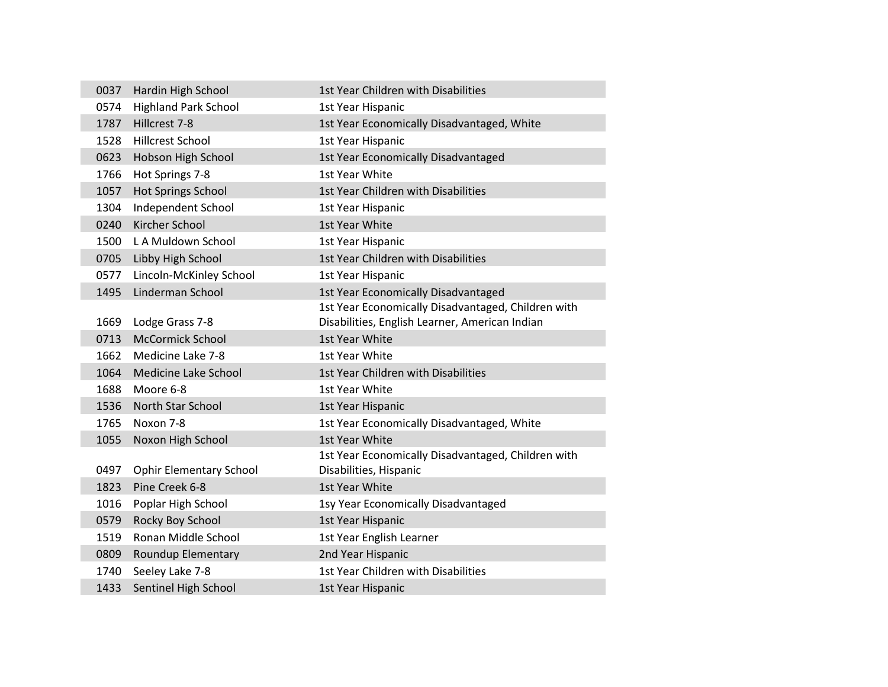| 0037 | Hardin High School             | 1st Year Children with Disabilities                                          |
|------|--------------------------------|------------------------------------------------------------------------------|
| 0574 | <b>Highland Park School</b>    | 1st Year Hispanic                                                            |
| 1787 | Hillcrest 7-8                  | 1st Year Economically Disadvantaged, White                                   |
| 1528 | <b>Hillcrest School</b>        | 1st Year Hispanic                                                            |
| 0623 | Hobson High School             | 1st Year Economically Disadvantaged                                          |
| 1766 | Hot Springs 7-8                | 1st Year White                                                               |
| 1057 | <b>Hot Springs School</b>      | 1st Year Children with Disabilities                                          |
| 1304 | Independent School             | 1st Year Hispanic                                                            |
| 0240 | <b>Kircher School</b>          | 1st Year White                                                               |
| 1500 | L A Muldown School             | 1st Year Hispanic                                                            |
| 0705 | Libby High School              | 1st Year Children with Disabilities                                          |
| 0577 | Lincoln-McKinley School        | 1st Year Hispanic                                                            |
| 1495 | Linderman School               | 1st Year Economically Disadvantaged                                          |
|      |                                | 1st Year Economically Disadvantaged, Children with                           |
| 1669 | Lodge Grass 7-8                | Disabilities, English Learner, American Indian                               |
| 0713 | <b>McCormick School</b>        | 1st Year White                                                               |
| 1662 | Medicine Lake 7-8              | 1st Year White                                                               |
| 1064 | Medicine Lake School           | 1st Year Children with Disabilities                                          |
| 1688 | Moore 6-8                      | 1st Year White                                                               |
| 1536 | <b>North Star School</b>       | 1st Year Hispanic                                                            |
| 1765 | Noxon 7-8                      | 1st Year Economically Disadvantaged, White                                   |
| 1055 | Noxon High School              | 1st Year White                                                               |
| 0497 | <b>Ophir Elementary School</b> | 1st Year Economically Disadvantaged, Children with<br>Disabilities, Hispanic |
| 1823 | Pine Creek 6-8                 | 1st Year White                                                               |
| 1016 | Poplar High School             | 1sy Year Economically Disadvantaged                                          |
| 0579 | Rocky Boy School               | 1st Year Hispanic                                                            |
| 1519 | Ronan Middle School            | 1st Year English Learner                                                     |
| 0809 | Roundup Elementary             | 2nd Year Hispanic                                                            |
| 1740 | Seeley Lake 7-8                | 1st Year Children with Disabilities                                          |
| 1433 | Sentinel High School           | 1st Year Hispanic                                                            |
|      |                                |                                                                              |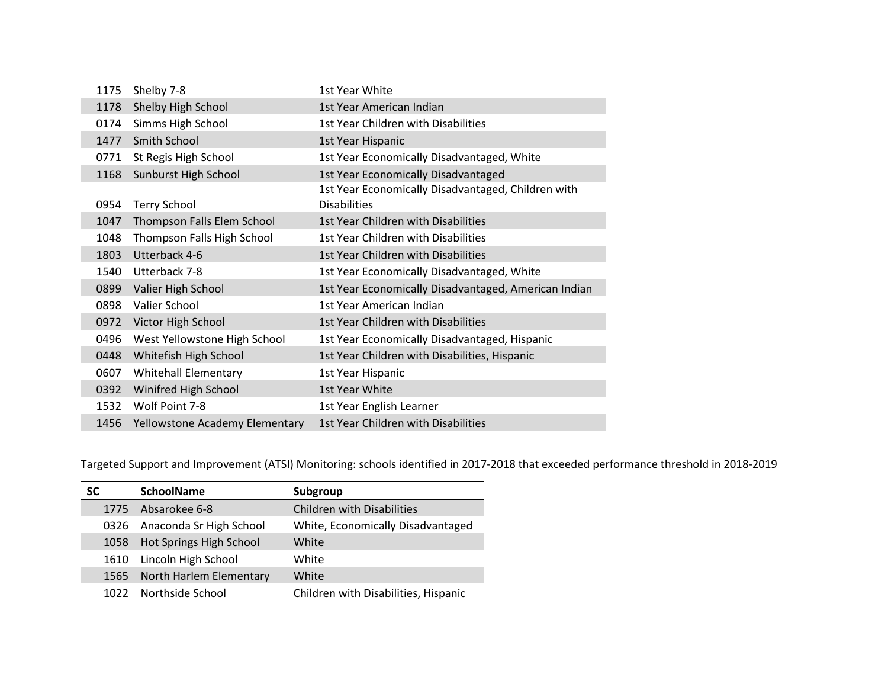| 1175 | Shelby 7-8                     | 1st Year White                                                            |
|------|--------------------------------|---------------------------------------------------------------------------|
| 1178 | Shelby High School             | 1st Year American Indian                                                  |
| 0174 | Simms High School              | 1st Year Children with Disabilities                                       |
| 1477 | Smith School                   | 1st Year Hispanic                                                         |
| 0771 | St Regis High School           | 1st Year Economically Disadvantaged, White                                |
| 1168 | Sunburst High School           | 1st Year Economically Disadvantaged                                       |
| 0954 | <b>Terry School</b>            | 1st Year Economically Disadvantaged, Children with<br><b>Disabilities</b> |
| 1047 | Thompson Falls Elem School     | 1st Year Children with Disabilities                                       |
| 1048 | Thompson Falls High School     | 1st Year Children with Disabilities                                       |
| 1803 | Utterback 4-6                  | 1st Year Children with Disabilities                                       |
| 1540 | Utterback 7-8                  | 1st Year Economically Disadvantaged, White                                |
| 0899 | Valier High School             | 1st Year Economically Disadvantaged, American Indian                      |
| 0898 | Valier School                  | 1st Year American Indian                                                  |
| 0972 | Victor High School             | 1st Year Children with Disabilities                                       |
| 0496 | West Yellowstone High School   | 1st Year Economically Disadvantaged, Hispanic                             |
| 0448 | Whitefish High School          | 1st Year Children with Disabilities, Hispanic                             |
| 0607 | <b>Whitehall Elementary</b>    | 1st Year Hispanic                                                         |
| 0392 | Winifred High School           | 1st Year White                                                            |
| 1532 | Wolf Point 7-8                 | 1st Year English Learner                                                  |
| 1456 | Yellowstone Academy Elementary | 1st Year Children with Disabilities                                       |

Targeted Support and Improvement (ATSI) Monitoring: schools identified in 2017-2018 that exceeded performance threshold in 2018-2019

| SС   | <b>SchoolName</b>       | Subgroup                             |
|------|-------------------------|--------------------------------------|
| 1775 | Absarokee 6-8           | <b>Children with Disabilities</b>    |
| 0326 | Anaconda Sr High School | White, Economically Disadvantaged    |
| 1058 | Hot Springs High School | White                                |
| 1610 | Lincoln High School     | White                                |
| 1565 | North Harlem Elementary | White                                |
| 1022 | Northside School        | Children with Disabilities, Hispanic |